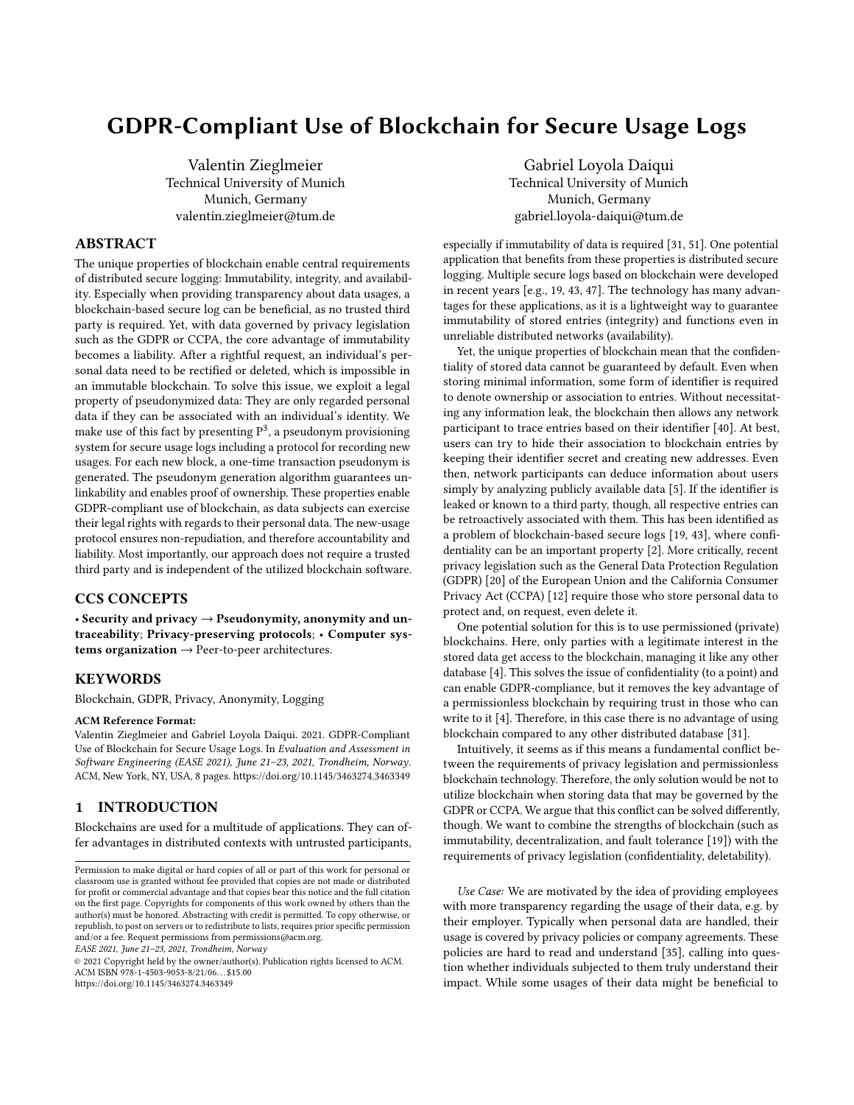# GDPR-Compliant Use of Blockchain for Secure Usage Logs

Valentin Zieglmeier Technical University of Munich Munich, Germany valentin.zieglmeier@tum.de

#### ABSTRACT

The unique properties of blockchain enable central requirements of distributed secure logging: Immutability, integrity, and availability. Especially when providing transparency about data usages, a blockchain-based secure log can be beneficial, as no trusted third party is required. Yet, with data governed by privacy legislation such as the GDPR or CCPA, the core advantage of immutability becomes a liability. After a rightful request, an individual's personal data need to be rectified or deleted, which is impossible in an immutable blockchain. To solve this issue, we exploit a legal property of pseudonymized data: They are only regarded personal data if they can be associated with an individual's identity. We make use of this fact by presenting  $P^3$ , a pseudonym provisioning system for secure usage logs including a protocol for recording new usages. For each new block, a one-time transaction pseudonym is generated. The pseudonym generation algorithm guarantees unlinkability and enables proof of ownership. These properties enable GDPR-compliant use of blockchain, as data subjects can exercise their legal rights with regards to their personal data. The new-usage protocol ensures non-repudiation, and therefore accountability and liability. Most importantly, our approach does not require a trusted third party and is independent of the utilized blockchain software.

# CCS CONCEPTS

• Security and privacy  $\rightarrow$  Pseudonymity, anonymity and untraceability; Privacy-preserving protocols; • Computer systems organization  $\rightarrow$  Peer-to-peer architectures.

#### KEYWORDS

Blockchain, GDPR, Privacy, Anonymity, Logging

#### ACM Reference Format:

Valentin Zieglmeier and Gabriel Loyola Daiqui. 2021. GDPR-Compliant Use of Blockchain for Secure Usage Logs. In Evaluation and Assessment in Software Engineering (EASE 2021), June 21–23, 2021, Trondheim, Norway. ACM, New York, NY, USA, [8](#page-7-0) pages.<https://doi.org/10.1145/3463274.3463349>

# 1 INTRODUCTION

Blockchains are used for a multitude of applications. They can offer advantages in distributed contexts with untrusted participants,

EASE 2021, June 21–23, 2021, Trondheim, Norway

© 2021 Copyright held by the owner/author(s). Publication rights licensed to ACM. ACM ISBN 978-1-4503-9053-8/21/06. . . \$15.00 <https://doi.org/10.1145/3463274.3463349>

Gabriel Loyola Daiqui Technical University of Munich Munich, Germany gabriel.loyola-daiqui@tum.de

especially if immutability of data is required [\[31,](#page-7-1) [51\]](#page-7-2). One potential application that benefits from these properties is distributed secure logging. Multiple secure logs based on blockchain were developed in recent years [e.g., [19,](#page-7-3) [43,](#page-7-4) [47\]](#page-7-5). The technology has many advantages for these applications, as it is a lightweight way to guarantee immutability of stored entries (integrity) and functions even in unreliable distributed networks (availability).

Yet, the unique properties of blockchain mean that the confidentiality of stored data cannot be guaranteed by default. Even when storing minimal information, some form of identifier is required to denote ownership or association to entries. Without necessitating any information leak, the blockchain then allows any network participant to trace entries based on their identifier [\[40\]](#page-7-6). At best, users can try to hide their association to blockchain entries by keeping their identifier secret and creating new addresses. Even then, network participants can deduce information about users simply by analyzing publicly available data [\[5\]](#page-6-0). If the identifier is leaked or known to a third party, though, all respective entries can be retroactively associated with them. This has been identified as a problem of blockchain-based secure logs [\[19,](#page-7-3) [43\]](#page-7-4), where confidentiality can be an important property [\[2\]](#page-6-1). More critically, recent privacy legislation such as the General Data Protection Regulation (GDPR) [\[20\]](#page-7-7) of the European Union and the California Consumer Privacy Act (CCPA) [\[12\]](#page-7-8) require those who store personal data to protect and, on request, even delete it.

One potential solution for this is to use permissioned (private) blockchains. Here, only parties with a legitimate interest in the stored data get access to the blockchain, managing it like any other database [\[4\]](#page-6-2). This solves the issue of confidentiality (to a point) and can enable GDPR-compliance, but it removes the key advantage of a permissionless blockchain by requiring trust in those who can write to it [\[4\]](#page-6-2). Therefore, in this case there is no advantage of using blockchain compared to any other distributed database [\[31\]](#page-7-1).

Intuitively, it seems as if this means a fundamental conflict between the requirements of privacy legislation and permissionless blockchain technology. Therefore, the only solution would be not to utilize blockchain when storing data that may be governed by the GDPR or CCPA. We argue that this conflict can be solved differently, though. We want to combine the strengths of blockchain (such as immutability, decentralization, and fault tolerance [\[19\]](#page-7-3)) with the requirements of privacy legislation (confidentiality, deletability).

Use Case: We are motivated by the idea of providing employees with more transparency regarding the usage of their data, e.g. by their employer. Typically when personal data are handled, their usage is covered by privacy policies or company agreements. These policies are hard to read and understand [\[35\]](#page-7-9), calling into question whether individuals subjected to them truly understand their impact. While some usages of their data might be beneficial to

Permission to make digital or hard copies of all or part of this work for personal or classroom use is granted without fee provided that copies are not made or distributed for profit or commercial advantage and that copies bear this notice and the full citation on the first page. Copyrights for components of this work owned by others than the author(s) must be honored. Abstracting with credit is permitted. To copy otherwise, or republish, to post on servers or to redistribute to lists, requires prior specific permission and/or a fee. Request permissions from permissions@acm.org.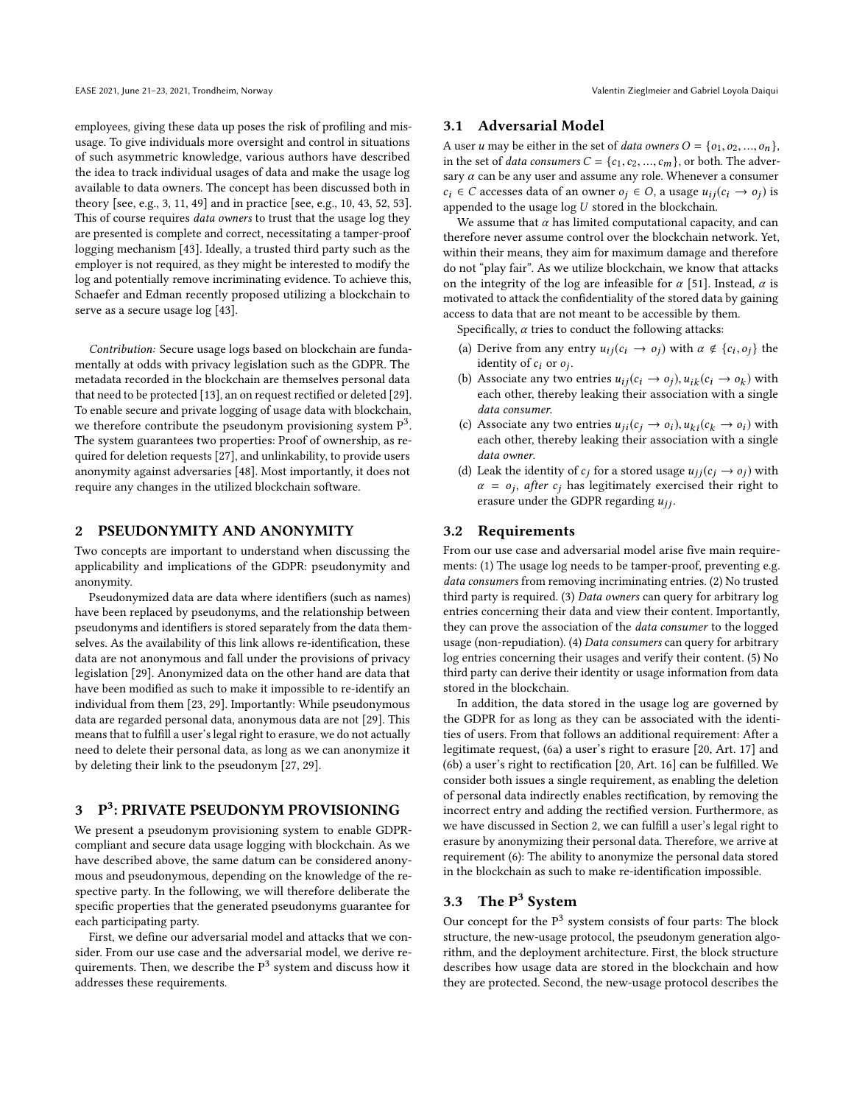EASE 2021, June 21-23, 2021, Trondheim, Norway Valentin Zieglmeier and Gabriel Loyola Daiqui

employees, giving these data up poses the risk of profiling and misusage. To give individuals more oversight and control in situations of such asymmetric knowledge, various authors have described the idea to track individual usages of data and make the usage log available to data owners. The concept has been discussed both in theory [see, e.g., [3,](#page-6-3) [11,](#page-7-10) [49\]](#page-7-11) and in practice [see, e.g., [10,](#page-7-12) [43,](#page-7-4) [52,](#page-7-13) [53\]](#page-7-14). This of course requires *data owners* to trust that the usage log they are presented is complete and correct, necessitating a tamper-proof logging mechanism [\[43\]](#page-7-4). Ideally, a trusted third party such as the employer is not required, as they might be interested to modify the log and potentially remove incriminating evidence. To achieve this, [Schaefer and Edman](#page-7-4) recently proposed utilizing a blockchain to serve as a secure usage log [\[43\]](#page-7-4).

Contribution: Secure usage logs based on blockchain are fundamentally at odds with privacy legislation such as the GDPR. The metadata recorded in the blockchain are themselves personal data that need to be protected [\[13\]](#page-7-15), an on request rectified or deleted [\[29\]](#page-7-16). To enable secure and private logging of usage data with blockchain, we therefore contribute the pseudonym provisioning system  $P^3$ . The system guarantees two properties: Proof of ownership, as required for deletion requests [\[27\]](#page-7-17), and unlinkability, to provide users anonymity against adversaries [\[48\]](#page-7-18). Most importantly, it does not require any changes in the utilized blockchain software.

## <span id="page-1-6"></span>2 PSEUDONYMITY AND ANONYMITY

Two concepts are important to understand when discussing the applicability and implications of the GDPR: pseudonymity and anonymity.

Pseudonymized data are data where identifiers (such as names) have been replaced by pseudonyms, and the relationship between pseudonyms and identifiers is stored separately from the data themselves. As the availability of this link allows re-identification, these data are not anonymous and fall under the provisions of privacy legislation [\[29\]](#page-7-16). Anonymized data on the other hand are data that have been modified as such to make it impossible to re-identify an individual from them [\[23,](#page-7-19) [29\]](#page-7-16). Importantly: While pseudonymous data are regarded personal data, anonymous data are not [\[29\]](#page-7-16). This means that to fulfill a user's legal right to erasure, we do not actually need to delete their personal data, as long as we can anonymize it by deleting their link to the pseudonym [\[27,](#page-7-17) [29\]](#page-7-16).

# 3 P 3 : PRIVATE PSEUDONYM PROVISIONING

We present a pseudonym provisioning system to enable GDPRcompliant and secure data usage logging with blockchain. As we have described above, the same datum can be considered anonymous and pseudonymous, depending on the knowledge of the respective party. In the following, we will therefore deliberate the specific properties that the generated pseudonyms guarantee for each participating party.

First, we define our adversarial model and attacks that we consider. From our use case and the adversarial model, we derive requirements. Then, we describe the  $\rm P^3$  system and discuss how it addresses these requirements.

#### <span id="page-1-7"></span>3.1 Adversarial Model

A user u may be either in the set of *data owners*  $O = \{o_1, o_2, ..., o_n\}$ , in the set of *data consumers*  $C = \{c_1, c_2, ..., c_m\}$ , or both. The adversary  $\alpha$  can be any user and assume any role. Whenever a consumer  $c_i \in C$  accesses data of an owner  $o_i \in O$ , a usage  $u_{ij}(c_i \rightarrow o_j)$  is appended to the usage  $log U$  stored in the blockchain.

We assume that  $\alpha$  has limited computational capacity, and can therefore never assume control over the blockchain network. Yet, within their means, they aim for maximum damage and therefore do not "play fair". As we utilize blockchain, we know that attacks on the integrity of the log are infeasible for  $\alpha$  [\[51\]](#page-7-2). Instead,  $\alpha$  is motivated to attack the confidentiality of the stored data by gaining access to data that are not meant to be accessible by them.

Specifically,  $\alpha$  tries to conduct the following attacks:

- (a) Derive from any entry  $u_{ij}(c_i \rightarrow o_j)$  with  $\alpha \notin \{c_i, o_j\}$  the identity of co or o. identity of  $c_i$  or  $o_j$ .<br>Associate any two
- (b) Associate any two entries  $u_{ij}(c_i \rightarrow o_j)$ ,  $u_{ik}(c_i \rightarrow o_k)$  with each other thereby leaking their association with a single each other, thereby leaking their association with a single data consumer.
- (c) Associate any two entries  $u_{ji}(c_i \rightarrow o_i), u_{ki}(c_k \rightarrow o_i)$  with each other, thereby leaking their association with a single data owner.
- (d) Leak the identity of  $c_i$  for a stored usage  $u_{ij}(c_i \rightarrow o_i)$  with  $\alpha = o_j$ , after  $c_j$  has legitimately exercised their right to exercise erasure under the GDPR regarding  $u_{ij}$ .

#### 3.2 Requirements

<span id="page-1-2"></span><span id="page-1-1"></span><span id="page-1-0"></span>From our use case and adversarial model arise five main requirements: [\(1\)](#page-1-0) The usage log needs to be tamper-proof, preventing e.g. data consumers from removing incriminating entries. [\(2\)](#page-1-1) No trusted third party is required. [\(3\)](#page-1-2) Data owners can query for arbitrary log entries concerning their data and view their content. Importantly, they can prove the association of the data consumer to the logged usage (non-repudiation). [\(4\)](#page-1-3) Data consumers can query for arbitrary log entries concerning their usages and verify their content. [\(5\)](#page-1-4) No third party can derive their identity or usage information from data stored in the blockchain.

<span id="page-1-5"></span><span id="page-1-4"></span><span id="page-1-3"></span>In addition, the data stored in the usage log are governed by the GDPR for as long as they can be associated with the identities of users. From that follows an additional requirement: After a legitimate request, [\(6a](#page-1-5)) a user's right to erasure [\[20,](#page-7-7) Art. 17] and [\(6b](#page-1-5)) a user's right to rectification [\[20,](#page-7-7) Art. 16] can be fulfilled. We consider both issues a single requirement, as enabling the deletion of personal data indirectly enables rectification, by removing the incorrect entry and adding the rectified version. Furthermore, as we have discussed in Section [2,](#page-1-6) we can fulfill a user's legal right to erasure by anonymizing their personal data. Therefore, we arrive at requirement [\(6\)](#page-1-5): The ability to anonymize the personal data stored in the blockchain as such to make re-identification impossible.

# 3.3 The  $P<sup>3</sup>$  System

Our concept for the P<sup>3</sup> system consists of four parts: The block structure, the new-usage protocol, the pseudonym generation algorithm, and the deployment architecture. First, the block structure describes how usage data are stored in the blockchain and how they are protected. Second, the new-usage protocol describes the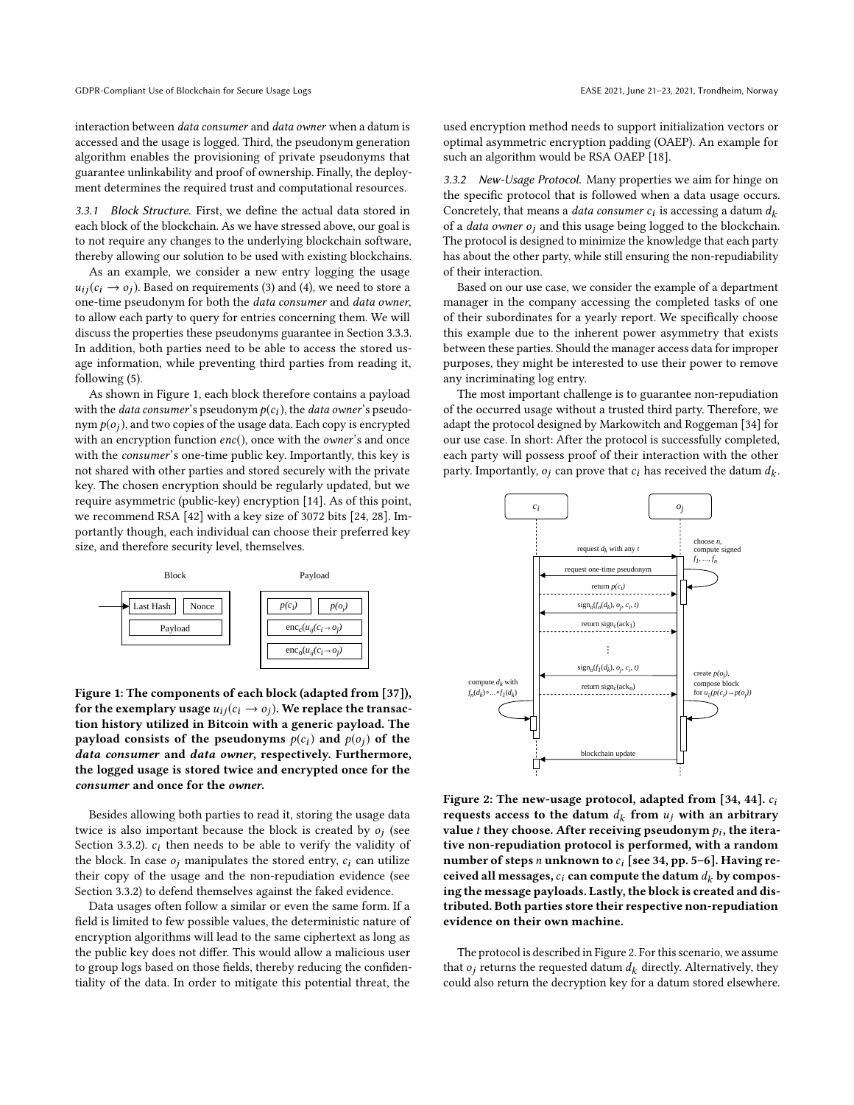interaction between data consumer and data owner when a datum is accessed and the usage is logged. Third, the pseudonym generation algorithm enables the provisioning of private pseudonyms that guarantee unlinkability and proof of ownership. Finally, the deployment determines the required trust and computational resources.

3.3.1 Block Structure. First, we define the actual data stored in each block of the blockchain. As we have stressed above, our goal is to not require any changes to the underlying blockchain software, thereby allowing our solution to be used with existing blockchains.

As an example, we consider a new entry logging the usage  $u_{ii}(c_i \rightarrow o_i)$ . Based on requirements [\(3\)](#page-1-2) and [\(4\)](#page-1-3), we need to store a one-time pseudonym for both the data consumer and data owner, to allow each party to query for entries concerning them. We will discuss the properties these pseudonyms guarantee in Section [3.3.3.](#page-3-0) In addition, both parties need to be able to access the stored usage information, while preventing third parties from reading it, following [\(5\)](#page-1-4).

As shown in Figure [1,](#page-2-0) each block therefore contains a payload with the *data consumer's* pseudonym  $p(c_i)$ , the *data owner's* pseudonym  $p(o_i)$ , and two copies of the usage data. Each copy is encrypted with an encryption function enc(), once with the owner's and once with the consumer's one-time public key. Importantly, this key is not shared with other parties and stored securely with the private key. The chosen encryption should be regularly updated, but we require asymmetric (public-key) encryption [\[14\]](#page-7-20). As of this point, we recommend RSA [\[42\]](#page-7-21) with a key size of 3072 bits [\[24,](#page-7-22) [28\]](#page-7-23). Importantly though, each individual can choose their preferred key size, and therefore security level, themselves.

<span id="page-2-0"></span>

Figure 1: The components of each block (adapted from [\[37\]](#page-7-24)), for the exemplary usage  $u_{ij}(c_i \rightarrow o_j)$ . We replace the transaction history utilized in Bitcoin with a generic payload. The payload consists of the pseudonyms  $p(c_i)$  and  $p(o_i)$  of the data consumer and data owner, respectively. Furthermore, the logged usage is stored twice and encrypted once for the consumer and once for the owner.

Besides allowing both parties to read it, storing the usage data twice is also important because the block is created by  $o_j$  (see<br>Section 3.3.2),  $c_i$  then needs to be able to verify the volidity of Section [3.3.2\)](#page-2-1).  $c_i$  then needs to be able to verify the validity of the block. In case  $o_i$  manipulates the stored entry,  $c_i$  can utilize their copy of the usage and the non-repudiation evidence (see Section [3.3.2\)](#page-2-1) to defend themselves against the faked evidence.

Data usages often follow a similar or even the same form. If a field is limited to few possible values, the deterministic nature of encryption algorithms will lead to the same ciphertext as long as the public key does not differ. This would allow a malicious user to group logs based on those fields, thereby reducing the confidentiality of the data. In order to mitigate this potential threat, the

used encryption method needs to support initialization vectors or optimal asymmetric encryption padding (OAEP). An example for such an algorithm would be RSA OAEP [\[18\]](#page-7-25).

<span id="page-2-1"></span>3.3.2 New-Usage Protocol. Many properties we aim for hinge on the specific protocol that is followed when a data usage occurs. Concretely, that means a *data consumer*  $c_i$  is accessing a datum  $d_k$ <br>of a *data owner*  $\alpha$ ; and this usage being logged to the blockchain of a *data owner*  $o_j$  and this usage being logged to the blockchain. The protocol is designed to minimize the knowledge that each party has about the other party, while still ensuring the non-repudiability of their interaction.

Based on our use case, we consider the example of a department manager in the company accessing the completed tasks of one of their subordinates for a yearly report. We specifically choose this example due to the inherent power asymmetry that exists between these parties. Should the manager access data for improper purposes, they might be interested to use their power to remove any incriminating log entry.

The most important challenge is to guarantee non-repudiation of the occurred usage without a trusted third party. Therefore, we adapt the protocol designed by [Markowitch and Roggeman](#page-7-26) [\[34\]](#page-7-26) for our use case. In short: After the protocol is successfully completed, each party will possess proof of their interaction with the other party. Importantly,  $o_j$  can prove that  $c_i$  has received the datum  $d_k$ .

<span id="page-2-2"></span>

Figure 2: The new-usage protocol, adapted from  $[34, 44]$  $[34, 44]$ .  $c_i$ requests access to the datum  $d_k$  from  $u_j$  with an arbitrary<br>value t they choose After receiving pseudonym  $\alpha$ , the iteravalue *t* they choose. After receiving pseudonym  $p_i$ , the itera-<br>tive non-repudiation protocol is performed, with a random tive non-repudiation protocol is performed, with a random number of steps n unknown to  $c_i$  [see [34,](#page-7-26) pp. 5–6]. Having received all messages,  $c_i$  can compute the datum  $d_k$  by composing the message payloads. Lastly, the block is created and distributed. Both parties store their respective non-repudiation evidence on their own machine.

The protocol is described in Figure [2.](#page-2-2) For this scenario, we assume that  $o_i$  returns the requested datum  $d_k$  directly. Alternatively, they could also return the decryption key for a datum stored elsewhere.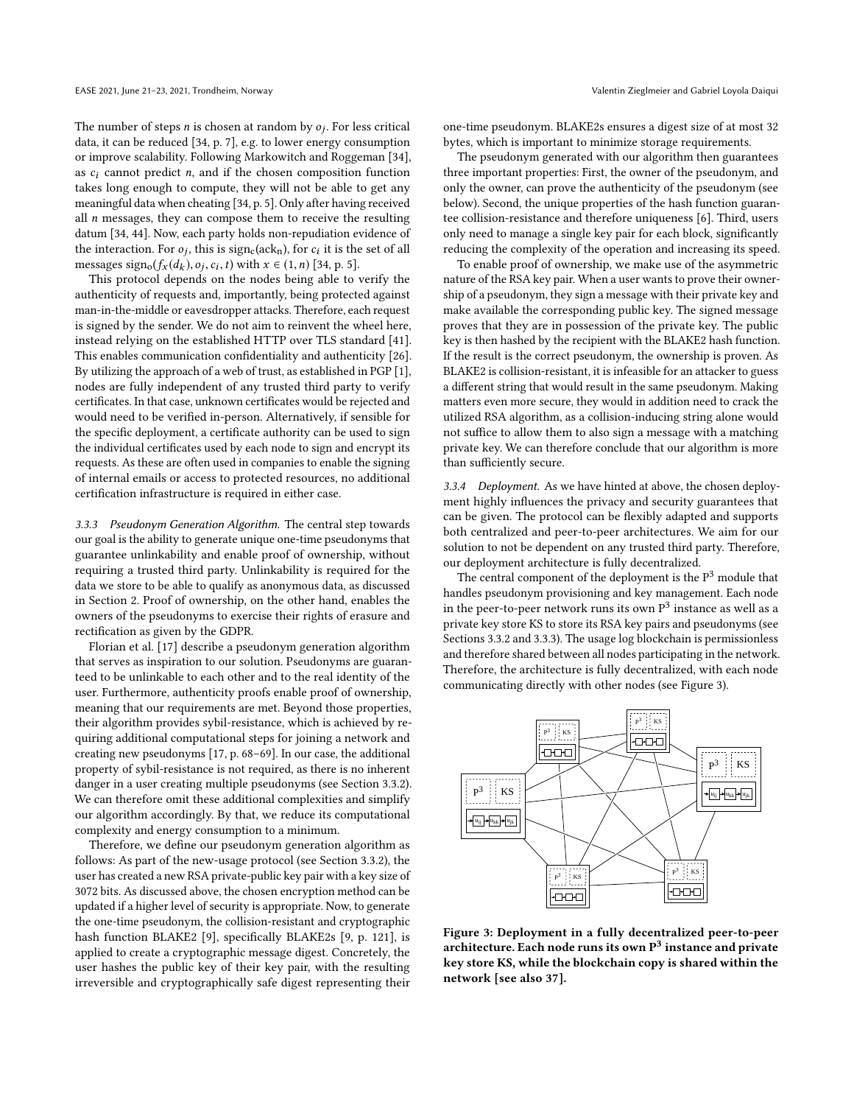The number of steps *n* is chosen at random by  $o_j$ . For less critical data it can be reduced [34, n, 7], e.g. to lower energy consumption data, it can be reduced [\[34,](#page-7-26) p. 7], e.g. to lower energy consumption or improve scalability. Following [Markowitch and Roggeman](#page-7-26) [\[34\]](#page-7-26), as  $c_i$  cannot predict n, and if the chosen composition function takes long enough to compute, they will not be able to get any meaningful data when cheating [\[34,](#page-7-26) p. 5]. Only after having received all  $n$  messages, they can compose them to receive the resulting datum [\[34,](#page-7-26) [44\]](#page-7-27). Now, each party holds non-repudiation evidence of the interaction. For  $o_j$ , this is  $sign_c(ack_n)$ , for  $c_i$  it is the set of all<br>messages sign  $(f(d_1) \cap c_1 \cap t)$  with  $x \in (1, n)$  [34, p. 5] messages sign<sub>o</sub> $(f_x(d_k), o_j, c_i, t)$  with  $x \in (1, n)$  [\[34,](#page-7-26) p. 5].<br>This protocol depends on the nodes being able to

This protocol depends on the nodes being able to verify the authenticity of requests and, importantly, being protected against man-in-the-middle or eavesdropper attacks. Therefore, each request is signed by the sender. We do not aim to reinvent the wheel here, instead relying on the established HTTP over TLS standard [\[41\]](#page-7-28). This enables communication confidentiality and authenticity [\[26\]](#page-7-29). By utilizing the approach of a web of trust, as established in PGP [\[1\]](#page-6-4), nodes are fully independent of any trusted third party to verify certificates. In that case, unknown certificates would be rejected and would need to be verified in-person. Alternatively, if sensible for the specific deployment, a certificate authority can be used to sign the individual certificates used by each node to sign and encrypt its requests. As these are often used in companies to enable the signing of internal emails or access to protected resources, no additional certification infrastructure is required in either case.

<span id="page-3-0"></span>3.3.3 Pseudonym Generation Algorithm. The central step towards our goal is the ability to generate unique one-time pseudonyms that guarantee unlinkability and enable proof of ownership, without requiring a trusted third party. Unlinkability is required for the data we store to be able to qualify as anonymous data, as discussed in Section [2.](#page-1-6) Proof of ownership, on the other hand, enables the owners of the pseudonyms to exercise their rights of erasure and rectification as given by the GDPR.

[Florian et al.](#page-7-30) [\[17\]](#page-7-30) describe a pseudonym generation algorithm that serves as inspiration to our solution. Pseudonyms are guaranteed to be unlinkable to each other and to the real identity of the user. Furthermore, authenticity proofs enable proof of ownership, meaning that our requirements are met. Beyond those properties, their algorithm provides sybil-resistance, which is achieved by requiring additional computational steps for joining a network and creating new pseudonyms [\[17,](#page-7-30) p. 68–69]. In our case, the additional property of sybil-resistance is not required, as there is no inherent danger in a user creating multiple pseudonyms (see Section [3.3.2\)](#page-2-1). We can therefore omit these additional complexities and simplify our algorithm accordingly. By that, we reduce its computational complexity and energy consumption to a minimum.

Therefore, we define our pseudonym generation algorithm as follows: As part of the new-usage protocol (see Section [3.3.2\)](#page-2-1), the user has created a new RSA private-public key pair with a key size of 3072 bits. As discussed above, the chosen encryption method can be updated if a higher level of security is appropriate. Now, to generate the one-time pseudonym, the collision-resistant and cryptographic hash function BLAKE2 [\[9\]](#page-7-31), specifically BLAKE2s [\[9,](#page-7-31) p. 121], is applied to create a cryptographic message digest. Concretely, the user hashes the public key of their key pair, with the resulting irreversible and cryptographically safe digest representing their

one-time pseudonym. BLAKE2s ensures a digest size of at most 32 bytes, which is important to minimize storage requirements.

The pseudonym generated with our algorithm then guarantees three important properties: First, the owner of the pseudonym, and only the owner, can prove the authenticity of the pseudonym (see below). Second, the unique properties of the hash function guarantee collision-resistance and therefore uniqueness [\[6\]](#page-7-32). Third, users only need to manage a single key pair for each block, significantly reducing the complexity of the operation and increasing its speed.

To enable proof of ownership, we make use of the asymmetric nature of the RSA key pair. When a user wants to prove their ownership of a pseudonym, they sign a message with their private key and make available the corresponding public key. The signed message proves that they are in possession of the private key. The public key is then hashed by the recipient with the BLAKE2 hash function. If the result is the correct pseudonym, the ownership is proven. As BLAKE2 is collision-resistant, it is infeasible for an attacker to guess a different string that would result in the same pseudonym. Making matters even more secure, they would in addition need to crack the utilized RSA algorithm, as a collision-inducing string alone would not suffice to allow them to also sign a message with a matching private key. We can therefore conclude that our algorithm is more than sufficiently secure.

3.3.4 Deployment. As we have hinted at above, the chosen deployment highly influences the privacy and security guarantees that can be given. The protocol can be flexibly adapted and supports both centralized and peer-to-peer architectures. We aim for our solution to not be dependent on any trusted third party. Therefore, our deployment architecture is fully decentralized.

The central component of the deployment is the  $P<sup>3</sup>$  module that handles pseudonym provisioning and key management. Each node in the peer-to-peer network runs its own  $P^3$  instance as well as a private key store KS to store its RSA key pairs and pseudonyms (see Sections [3.3.2](#page-2-1) and [3.3.3\)](#page-3-0). The usage log blockchain is permissionless and therefore shared between all nodes participating in the network. Therefore, the architecture is fully decentralized, with each node communicating directly with other nodes (see Figure [3\)](#page-3-1).

<span id="page-3-1"></span>

Figure 3: Deployment in a fully decentralized peer-to-peer architecture. Each node runs its own  $P^3$  instance and private key store KS, while the blockchain copy is shared within the network [see also [37\]](#page-7-24).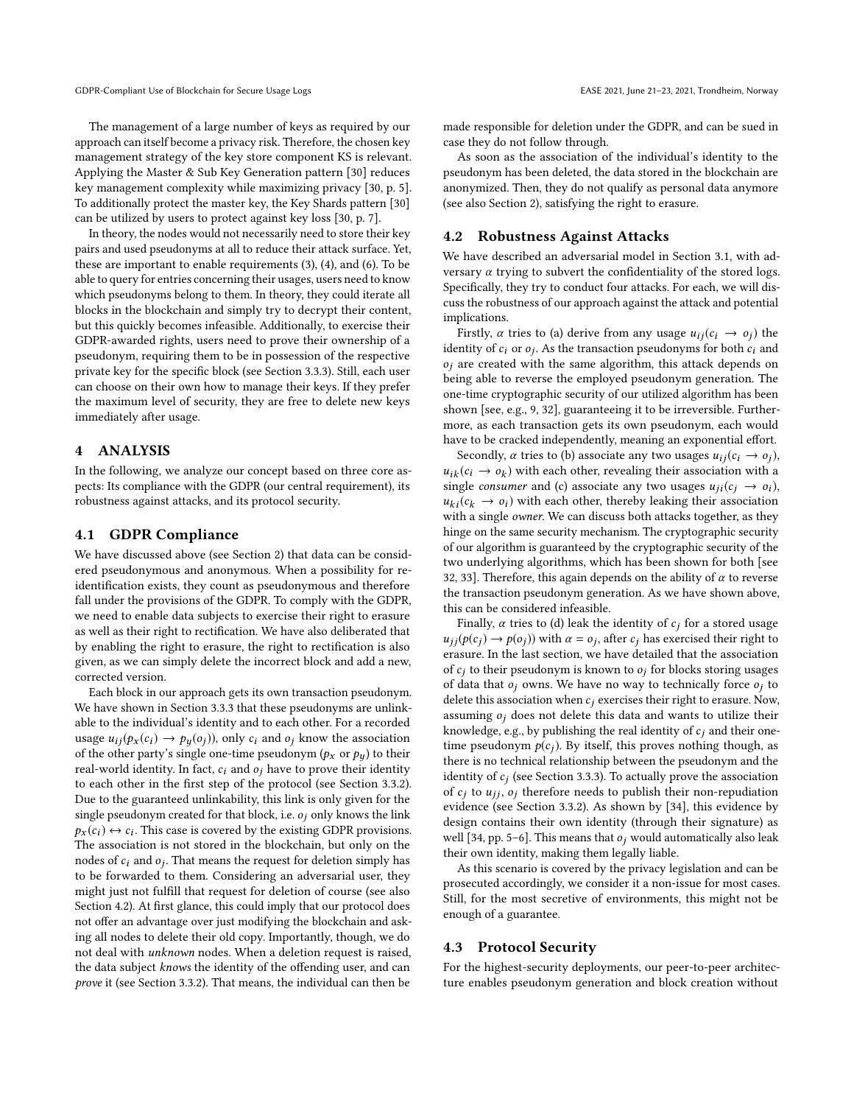The management of a large number of keys as required by our approach can itself become a privacy risk. Therefore, the chosen key management strategy of the key store component KS is relevant. Applying the Master & Sub Key Generation pattern [\[30\]](#page-7-33) reduces key management complexity while maximizing privacy [\[30,](#page-7-33) p. 5]. To additionally protect the master key, the Key Shards pattern [\[30\]](#page-7-33) can be utilized by users to protect against key loss [\[30,](#page-7-33) p. 7].

In theory, the nodes would not necessarily need to store their key pairs and used pseudonyms at all to reduce their attack surface. Yet, these are important to enable requirements [\(3\)](#page-1-2), [\(4\)](#page-1-3), and [\(6\)](#page-1-5). To be able to query for entries concerning their usages, users need to know which pseudonyms belong to them. In theory, they could iterate all blocks in the blockchain and simply try to decrypt their content, but this quickly becomes infeasible. Additionally, to exercise their GDPR-awarded rights, users need to prove their ownership of a pseudonym, requiring them to be in possession of the respective private key for the specific block (see Section [3.3.3\)](#page-3-0). Still, each user can choose on their own how to manage their keys. If they prefer the maximum level of security, they are free to delete new keys immediately after usage.

#### 4 ANALYSIS

In the following, we analyze our concept based on three core aspects: Its compliance with the GDPR (our central requirement), its robustness against attacks, and its protocol security.

## 4.1 GDPR Compliance

We have discussed above (see Section [2\)](#page-1-6) that data can be considered pseudonymous and anonymous. When a possibility for reidentification exists, they count as pseudonymous and therefore fall under the provisions of the GDPR. To comply with the GDPR, we need to enable data subjects to exercise their right to erasure as well as their right to rectification. We have also deliberated that by enabling the right to erasure, the right to rectification is also given, as we can simply delete the incorrect block and add a new, corrected version.

Each block in our approach gets its own transaction pseudonym. We have shown in Section [3.3.3](#page-3-0) that these pseudonyms are unlinkable to the individual's identity and to each other. For a recorded usage  $u_{ij}(p_x(c_i) \rightarrow p_y(o_i))$ , only  $c_i$  and  $o_j$  know the association of the other party's single one-time pseudonym ( $p_x$  or  $p_y$ ) to their real-world identity. In fact,  $c_i$  and  $o_j$  have to prove their identity to each other in the first step of the protocol (see Section [3.3.2\)](#page-2-1). Due to the guaranteed unlinkability, this link is only given for the single pseudonym created for that block, i.e.  $o_i$  only knows the link  $p_x(c_i) \leftrightarrow c_i$ . This case is covered by the existing GDPR provisions.<br>The association is not stored in the blockchain, but only on the The association is not stored in the blockchain, but only on the nodes of  $c_i$  and  $o_j$ . That means the request for deletion simply has<br>to be forwarded to them. Considering an adversarial user, they to be forwarded to them. Considering an adversarial user, they might just not fulfill that request for deletion of course (see also Section [4.2\)](#page-4-0). At first glance, this could imply that our protocol does not offer an advantage over just modifying the blockchain and asking all nodes to delete their old copy. Importantly, though, we do not deal with unknown nodes. When a deletion request is raised, the data subject knows the identity of the offending user, and can prove it (see Section [3.3.2\)](#page-2-1). That means, the individual can then be

made responsible for deletion under the GDPR, and can be sued in case they do not follow through.

As soon as the association of the individual's identity to the pseudonym has been deleted, the data stored in the blockchain are anonymized. Then, they do not qualify as personal data anymore (see also Section [2\)](#page-1-6), satisfying the right to erasure.

#### <span id="page-4-0"></span>4.2 Robustness Against Attacks

We have described an adversarial model in Section [3.1,](#page-1-7) with adversary  $\alpha$  trying to subvert the confidentiality of the stored logs. Specifically, they try to conduct four attacks. For each, we will discuss the robustness of our approach against the attack and potential implications.

Firstly,  $\alpha$  tries to (a) derive from any usage  $u_{ij}(c_i \rightarrow o_j)$  the identity of  $c_i$  or  $o_j$ . As the transaction pseudonyms for both  $c_i$  and  $o_j$  are created with the same algorithm, this attack depends on  $o<sub>i</sub>$  are created with the same algorithm, this attack depends on being able to reverse the employed pseudonym generation. The one-time cryptographic security of our utilized algorithm has been shown [see, e.g., [9,](#page-7-31) [32\]](#page-7-34), guaranteeing it to be irreversible. Furthermore, as each transaction gets its own pseudonym, each would have to be cracked independently, meaning an exponential effort.

Secondly,  $\alpha$  tries to (b) associate any two usages  $u_{ij}(c_i \rightarrow o_i)$ ,  $u_{ik}(c_i \rightarrow o_k)$  with each other, revealing their association with a<br>single consumer and (c) associate any two usages  $u_{ik}(c_i \rightarrow c_i)$ single consumer and (c) associate any two usages  $u_{ii}(c_i \rightarrow o_i)$ ,  $u_{ki}(c_k \rightarrow o_i)$  with each other, thereby leaking their association with a single owner. We can discuss both attacks together, as they hinge on the same security mechanism. The cryptographic security of our algorithm is guaranteed by the cryptographic security of the two underlying algorithms, which has been shown for both [see [32,](#page-7-34) [33\]](#page-7-35). Therefore, this again depends on the ability of  $\alpha$  to reverse the transaction pseudonym generation. As we have shown above, this can be considered infeasible.

Finally,  $\alpha$  tries to (d) leak the identity of  $c_j$  for a stored usage  $u_{jj}(p(c_j) \rightarrow p(o_j))$  with  $\alpha = o_j$ , after  $c_j$  has exercised their right to exercise erasure. In the last section, we have detailed that the association of  $c_i$  to their pseudonym is known to  $o_i$  for blocks storing usages of data that  $o_i$  owns. We have no way to technically force  $o_i$  to delete this association when  $c_i$  exercises their right to erasure. Now, assuming  $o_i$  does not delete this data and wants to utilize their knowledge, e.g., by publishing the real identity of  $c_i$  and their onetime pseudonym  $p(c_i)$ . By itself, this proves nothing though, as there is no technical relationship between the pseudonym and the identity of  $c_j$  (see Section [3.3.3\)](#page-3-0). To actually prove the association<br>of  $c_i$  to  $y_{ij}$  a, therefore needs to publish their non-repudiation of  $c_i$  to  $u_{ij}$ ,  $o_i$  therefore needs to publish their non-repudiation evidence (see Section [3.3.2\)](#page-2-1). As shown by [\[34\]](#page-7-26), this evidence by design contains their own identity (through their signature) as well [\[34,](#page-7-26) pp. 5–6]. This means that  $o_i$  would automatically also leak their own identity, making them legally liable.

As this scenario is covered by the privacy legislation and can be prosecuted accordingly, we consider it a non-issue for most cases. Still, for the most secretive of environments, this might not be enough of a guarantee.

#### 4.3 Protocol Security

For the highest-security deployments, our peer-to-peer architecture enables pseudonym generation and block creation without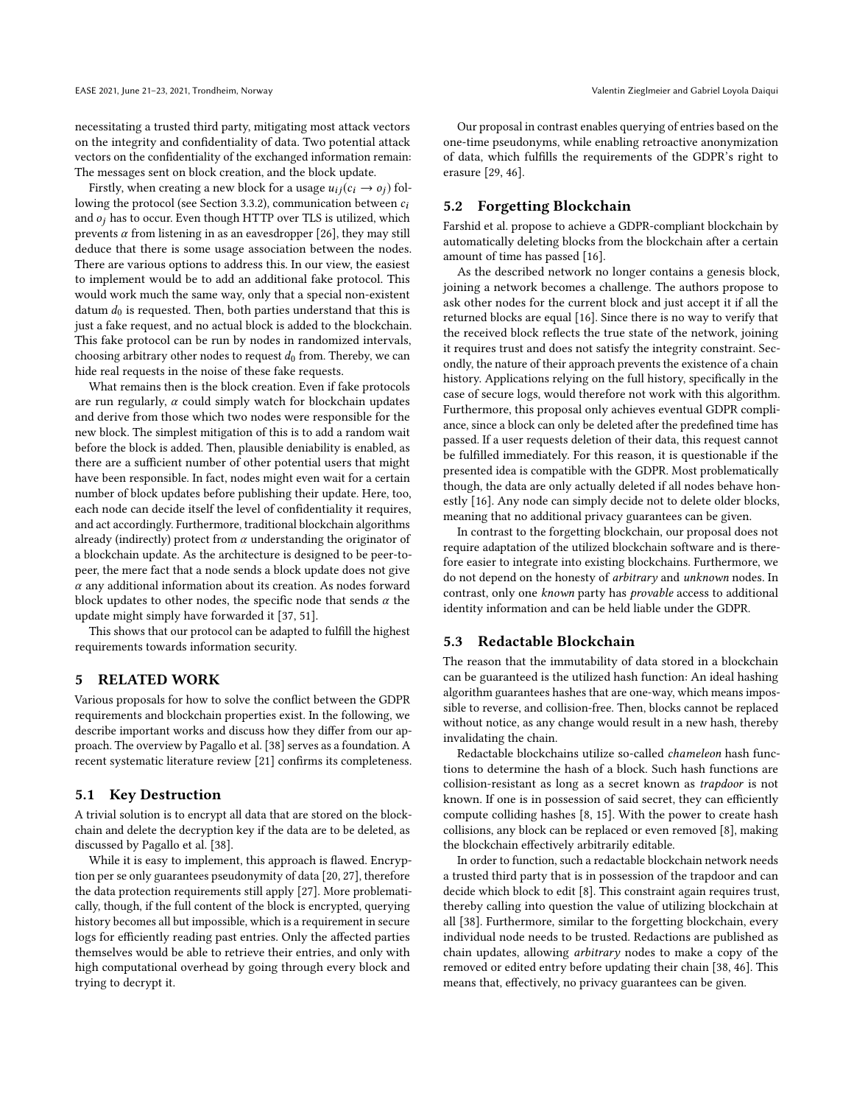necessitating a trusted third party, mitigating most attack vectors on the integrity and confidentiality of data. Two potential attack vectors on the confidentiality of the exchanged information remain: The messages sent on block creation, and the block update.

Firstly, when creating a new block for a usage  $u_{ij}(c_i \rightarrow o_i)$  fol-lowing the protocol (see Section [3.3.2\)](#page-2-1), communication between  $c_i$ and  $o_i$  has to occur. Even though HTTP over TLS is utilized, which prevents  $\alpha$  from listening in as an eavesdropper [\[26\]](#page-7-29), they may still deduce that there is some usage association between the nodes. There are various options to address this. In our view, the easiest to implement would be to add an additional fake protocol. This would work much the same way, only that a special non-existent datum  $d_0$  is requested. Then, both parties understand that this is just a fake request, and no actual block is added to the blockchain. This fake protocol can be run by nodes in randomized intervals, choosing arbitrary other nodes to request  $d_0$  from. Thereby, we can hide real requests in the noise of these fake requests.

What remains then is the block creation. Even if fake protocols are run regularly,  $\alpha$  could simply watch for blockchain updates and derive from those which two nodes were responsible for the new block. The simplest mitigation of this is to add a random wait before the block is added. Then, plausible deniability is enabled, as there are a sufficient number of other potential users that might have been responsible. In fact, nodes might even wait for a certain number of block updates before publishing their update. Here, too, each node can decide itself the level of confidentiality it requires, and act accordingly. Furthermore, traditional blockchain algorithms already (indirectly) protect from  $\alpha$  understanding the originator of a blockchain update. As the architecture is designed to be peer-topeer, the mere fact that a node sends a block update does not give  $\alpha$  any additional information about its creation. As nodes forward block updates to other nodes, the specific node that sends  $\alpha$  the update might simply have forwarded it [\[37,](#page-7-24) [51\]](#page-7-2).

This shows that our protocol can be adapted to fulfill the highest requirements towards information security.

#### 5 RELATED WORK

Various proposals for how to solve the conflict between the GDPR requirements and blockchain properties exist. In the following, we describe important works and discuss how they differ from our approach. The overview by [Pagallo et al.](#page-7-36) [\[38\]](#page-7-36) serves as a foundation. A recent systematic literature review [\[21\]](#page-7-37) confirms its completeness.

#### 5.1 Key Destruction

A trivial solution is to encrypt all data that are stored on the blockchain and delete the decryption key if the data are to be deleted, as discussed by [Pagallo et al.](#page-7-36) [\[38\]](#page-7-36).

While it is easy to implement, this approach is flawed. Encryption per se only guarantees pseudonymity of data [\[20,](#page-7-7) [27\]](#page-7-17), therefore the data protection requirements still apply [\[27\]](#page-7-17). More problematically, though, if the full content of the block is encrypted, querying history becomes all but impossible, which is a requirement in secure logs for efficiently reading past entries. Only the affected parties themselves would be able to retrieve their entries, and only with high computational overhead by going through every block and trying to decrypt it.

Our proposal in contrast enables querying of entries based on the one-time pseudonyms, while enabling retroactive anonymization of data, which fulfills the requirements of the GDPR's right to erasure [\[29,](#page-7-16) [46\]](#page-7-38).

# 5.2 Forgetting Blockchain

[Farshid et al.](#page-7-39) propose to achieve a GDPR-compliant blockchain by automatically deleting blocks from the blockchain after a certain amount of time has passed [\[16\]](#page-7-39).

As the described network no longer contains a genesis block, joining a network becomes a challenge. The authors propose to ask other nodes for the current block and just accept it if all the returned blocks are equal [\[16\]](#page-7-39). Since there is no way to verify that the received block reflects the true state of the network, joining it requires trust and does not satisfy the integrity constraint. Secondly, the nature of their approach prevents the existence of a chain history. Applications relying on the full history, specifically in the case of secure logs, would therefore not work with this algorithm. Furthermore, this proposal only achieves eventual GDPR compliance, since a block can only be deleted after the predefined time has passed. If a user requests deletion of their data, this request cannot be fulfilled immediately. For this reason, it is questionable if the presented idea is compatible with the GDPR. Most problematically though, the data are only actually deleted if all nodes behave honestly [\[16\]](#page-7-39). Any node can simply decide not to delete older blocks, meaning that no additional privacy guarantees can be given.

In contrast to the forgetting blockchain, our proposal does not require adaptation of the utilized blockchain software and is therefore easier to integrate into existing blockchains. Furthermore, we do not depend on the honesty of arbitrary and unknown nodes. In contrast, only one known party has provable access to additional identity information and can be held liable under the GDPR.

#### 5.3 Redactable Blockchain

The reason that the immutability of data stored in a blockchain can be guaranteed is the utilized hash function: An ideal hashing algorithm guarantees hashes that are one-way, which means impossible to reverse, and collision-free. Then, blocks cannot be replaced without notice, as any change would result in a new hash, thereby invalidating the chain.

Redactable blockchains utilize so-called chameleon hash functions to determine the hash of a block. Such hash functions are collision-resistant as long as a secret known as trapdoor is not known. If one is in possession of said secret, they can efficiently compute colliding hashes [\[8,](#page-7-40) [15\]](#page-7-41). With the power to create hash collisions, any block can be replaced or even removed [\[8\]](#page-7-40), making the blockchain effectively arbitrarily editable.

In order to function, such a redactable blockchain network needs a trusted third party that is in possession of the trapdoor and can decide which block to edit [\[8\]](#page-7-40). This constraint again requires trust, thereby calling into question the value of utilizing blockchain at all [\[38\]](#page-7-36). Furthermore, similar to the forgetting blockchain, every individual node needs to be trusted. Redactions are published as chain updates, allowing arbitrary nodes to make a copy of the removed or edited entry before updating their chain [\[38,](#page-7-36) [46\]](#page-7-38). This means that, effectively, no privacy guarantees can be given.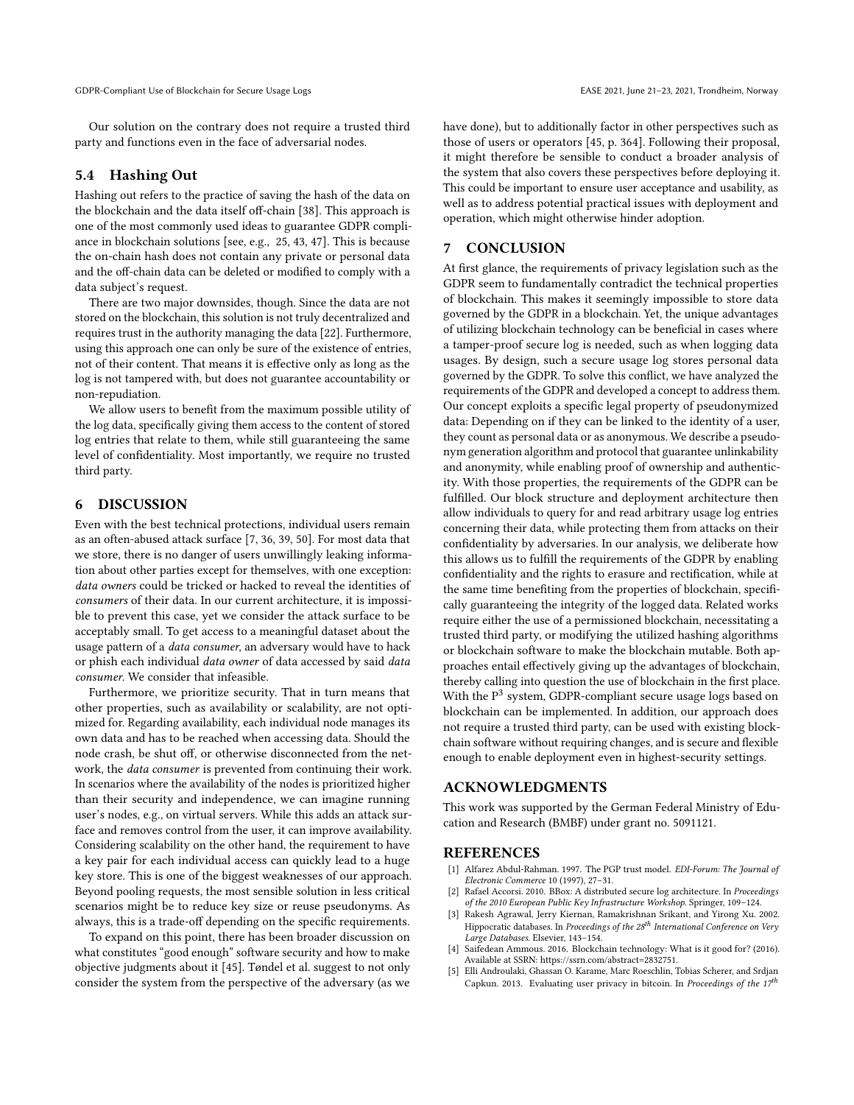Our solution on the contrary does not require a trusted third party and functions even in the face of adversarial nodes.

#### 5.4 Hashing Out

Hashing out refers to the practice of saving the hash of the data on the blockchain and the data itself off-chain [\[38\]](#page-7-36). This approach is one of the most commonly used ideas to guarantee GDPR compliance in blockchain solutions [see, e.g., [25,](#page-7-42) [43,](#page-7-4) [47\]](#page-7-5). This is because the on-chain hash does not contain any private or personal data and the off-chain data can be deleted or modified to comply with a data subject's request.

There are two major downsides, though. Since the data are not stored on the blockchain, this solution is not truly decentralized and requires trust in the authority managing the data [\[22\]](#page-7-43). Furthermore, using this approach one can only be sure of the existence of entries, not of their content. That means it is effective only as long as the log is not tampered with, but does not guarantee accountability or non-repudiation.

We allow users to benefit from the maximum possible utility of the log data, specifically giving them access to the content of stored log entries that relate to them, while still guaranteeing the same level of confidentiality. Most importantly, we require no trusted third party.

### 6 DISCUSSION

Even with the best technical protections, individual users remain as an often-abused attack surface [\[7,](#page-7-44) [36,](#page-7-45) [39,](#page-7-46) [50\]](#page-7-47). For most data that we store, there is no danger of users unwillingly leaking information about other parties except for themselves, with one exception: data owners could be tricked or hacked to reveal the identities of consumers of their data. In our current architecture, it is impossible to prevent this case, yet we consider the attack surface to be acceptably small. To get access to a meaningful dataset about the usage pattern of a data consumer, an adversary would have to hack or phish each individual data owner of data accessed by said data consumer. We consider that infeasible.

Furthermore, we prioritize security. That in turn means that other properties, such as availability or scalability, are not optimized for. Regarding availability, each individual node manages its own data and has to be reached when accessing data. Should the node crash, be shut off, or otherwise disconnected from the network, the data consumer is prevented from continuing their work. In scenarios where the availability of the nodes is prioritized higher than their security and independence, we can imagine running user's nodes, e.g., on virtual servers. While this adds an attack surface and removes control from the user, it can improve availability. Considering scalability on the other hand, the requirement to have a key pair for each individual access can quickly lead to a huge key store. This is one of the biggest weaknesses of our approach. Beyond pooling requests, the most sensible solution in less critical scenarios might be to reduce key size or reuse pseudonyms. As always, this is a trade-off depending on the specific requirements.

To expand on this point, there has been broader discussion on what constitutes "good enough" software security and how to make objective judgments about it [\[45\]](#page-7-48). [Tøndel et al.](#page-7-48) suggest to not only consider the system from the perspective of the adversary (as we have done), but to additionally factor in other perspectives such as those of users or operators [\[45,](#page-7-48) p. 364]. Following their proposal, it might therefore be sensible to conduct a broader analysis of the system that also covers these perspectives before deploying it. This could be important to ensure user acceptance and usability, as well as to address potential practical issues with deployment and operation, which might otherwise hinder adoption.

#### 7 CONCLUSION

At first glance, the requirements of privacy legislation such as the GDPR seem to fundamentally contradict the technical properties of blockchain. This makes it seemingly impossible to store data governed by the GDPR in a blockchain. Yet, the unique advantages of utilizing blockchain technology can be beneficial in cases where a tamper-proof secure log is needed, such as when logging data usages. By design, such a secure usage log stores personal data governed by the GDPR. To solve this conflict, we have analyzed the requirements of the GDPR and developed a concept to address them. Our concept exploits a specific legal property of pseudonymized data: Depending on if they can be linked to the identity of a user, they count as personal data or as anonymous. We describe a pseudonym generation algorithm and protocol that guarantee unlinkability and anonymity, while enabling proof of ownership and authenticity. With those properties, the requirements of the GDPR can be fulfilled. Our block structure and deployment architecture then allow individuals to query for and read arbitrary usage log entries concerning their data, while protecting them from attacks on their confidentiality by adversaries. In our analysis, we deliberate how this allows us to fulfill the requirements of the GDPR by enabling confidentiality and the rights to erasure and rectification, while at the same time benefiting from the properties of blockchain, specifically guaranteeing the integrity of the logged data. Related works require either the use of a permissioned blockchain, necessitating a trusted third party, or modifying the utilized hashing algorithms or blockchain software to make the blockchain mutable. Both approaches entail effectively giving up the advantages of blockchain, thereby calling into question the use of blockchain in the first place. With the  $P<sup>3</sup>$  system, GDPR-compliant secure usage logs based on blockchain can be implemented. In addition, our approach does not require a trusted third party, can be used with existing blockchain software without requiring changes, and is secure and flexible enough to enable deployment even in highest-security settings.

#### ACKNOWLEDGMENTS

This work was supported by the German Federal Ministry of Education and Research (BMBF) under grant no. 5091121.

#### REFERENCES

- <span id="page-6-4"></span>[1] Alfarez Abdul-Rahman. 1997. The PGP trust model. EDI-Forum: The Journal of Electronic Commerce 10 (1997), 27–31.
- <span id="page-6-1"></span>Rafael Accorsi. 2010. BBox: A distributed secure log architecture. In Proceedings of the 2010 European Public Key Infrastructure Workshop. Springer, 109–124.
- <span id="page-6-3"></span>Rakesh Agrawal, Jerry Kiernan, Ramakrishnan Srikant, and Yirong Xu. 2002. Hippocratic databases. In Proceedings of the 28<sup>th</sup> International Conference on Very Large Databases. Elsevier, 143–154.
- <span id="page-6-2"></span>[4] Saifedean Ammous. 2016. Blockchain technology: What is it good for? (2016). Available at SSRN: https://ssrn.com/abstract=2832751.
- <span id="page-6-0"></span>[5] Elli Androulaki, Ghassan O. Karame, Marc Roeschlin, Tobias Scherer, and Srdjan Capkun. 2013. Evaluating user privacy in bitcoin. In Proceedings of the  $17^{th}$